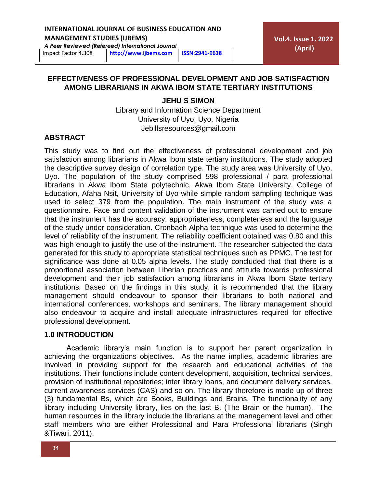## **INTERNATIONAL JOURNAL OF BUSINESS EDUCATION AND**

**MANAGEMENT STUDIES (IJBEMS)** *A Peer Reviewed (Refereed) International Journal*

Impact Factor 4.308 **[http://www](http://www.ijbems.com/)**.**ijbems.com ISSN:2941-9638**

**Vol.4. Issue 1. 2022 (April)**

## **EFFECTIVENESS OF PROFESSIONAL DEVELOPMENT AND JOB SATISFACTION AMONG LIBRARIANS IN AKWA IBOM STATE TERTIARY INSTITUTIONS**

## **JEHU S SIMON**

Library and Information Science Department University of Uyo, Uyo, Nigeria Jebillsresources@gmail.com

## **ABSTRACT**

This study was to find out the effectiveness of professional development and job satisfaction among librarians in Akwa Ibom state tertiary institutions. The study adopted the descriptive survey design of correlation type. The study area was University of Uyo, Uyo. The population of the study comprised 598 professional / para professional librarians in Akwa Ibom State polytechnic, Akwa Ibom State University, College of Education, Afaha Nsit, University of Uyo while simple random sampling technique was used to select 379 from the population. The main instrument of the study was a questionnaire. Face and content validation of the instrument was carried out to ensure that the instrument has the accuracy, appropriateness, completeness and the language of the study under consideration. Cronbach Alpha technique was used to determine the level of reliability of the instrument. The reliability coefficient obtained was 0.80 and this was high enough to justify the use of the instrument. The researcher subjected the data generated for this study to appropriate statistical techniques such as PPMC. The test for significance was done at 0.05 alpha levels. The study concluded that that there is a proportional association between Liberian practices and attitude towards professional development and their job satisfaction among librarians in Akwa Ibom State tertiary institutions. Based on the findings in this study, it is recommended that the library management should endeavour to sponsor their librarians to both national and international conferences, workshops and seminars. The library management should also endeavour to acquire and install adequate infrastructures required for effective professional development.

## **1.0 INTRODUCTION**

Academic library's main function is to support her parent organization in achieving the organizations objectives. As the name implies, academic libraries are involved in providing support for the research and educational activities of the institutions. Their functions include content development, acquisition, technical services, provision of institutional repositories; inter library loans, and document delivery services, current awareness services (CAS) and so on. The library therefore is made up of three (3) fundamental Bs, which are Books, Buildings and Brains. The functionality of any library including University library, lies on the last B. (The Brain or the human). The human resources in the library include the librarians at the management level and other staff members who are either Professional and Para Professional librarians (Singh &Tiwari, 2011).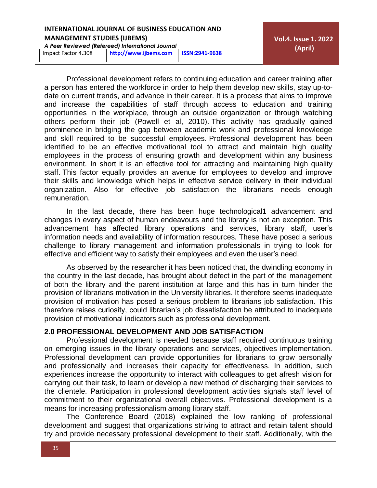*A Peer Reviewed (Refereed) International Journal*

**Vol.4. Issue 1. 2022 (April)**

Impact Factor 4.308 **[http://www](http://www.ijbems.com/)**.**ijbems.com ISSN:2941-9638**

Professional development refers to continuing education and career training after a person has entered the workforce in order to help them develop new skills, stay up-todate on current trends, and advance in their career. It is a process that aims to improve and increase the capabilities of staff through access to education and training opportunities in the workplace, through an outside organization or through watching others perform their job (Powell et al, 2010). This activity has gradually gained prominence in bridging the gap between academic work and professional knowledge and skill required to be successful employees. Professional development has been identified to be an effective motivational tool to attract and maintain high quality employees in the process of ensuring growth and development within any business environment. In short it is an effective tool for attracting and maintaining high quality staff. This factor equally provides an avenue for employees to develop and improve their skills and knowledge which helps in effective service delivery in their individual organization. Also for effective job satisfaction the librarians needs enough remuneration.

In the last decade, there has been huge technological1 advancement and changes in every aspect of human endeavours and the library is not an exception. This advancement has affected library operations and services, library staff, user's information needs and availability of information resources. These have posed a serious challenge to library management and information professionals in trying to look for effective and efficient way to satisfy their employees and even the user's need.

As observed by the researcher it has been noticed that, the dwindling economy in the country in the last decade, has brought about defect in the part of the management of both the library and the parent institution at large and this has in turn hinder the provision of librarians motivation in the University libraries. It therefore seems inadequate provision of motivation has posed a serious problem to librarians job satisfaction. This therefore raises curiosity, could librarian's job dissatisfaction be attributed to inadequate provision of motivational indicators such as professional development.

## **2.0 PROFESSIONAL DEVELOPMENT AND JOB SATISFACTION**

Professional development is needed because staff required continuous training on emerging issues in the library operations and services, objectives implementation. Professional development can provide opportunities for librarians to grow personally and professionally and increases their capacity for effectiveness. In addition, such experiences increase the opportunity to interact with colleagues to get afresh vision for carrying out their task, to learn or develop a new method of discharging their services to the clientele. Participation in professional development activities signals staff level of commitment to their organizational overall objectives. Professional development is a means for increasing professionalism among library staff.

The Conference Board (2018) explained the low ranking of professional development and suggest that organizations striving to attract and retain talent should try and provide necessary professional development to their staff. Additionally, with the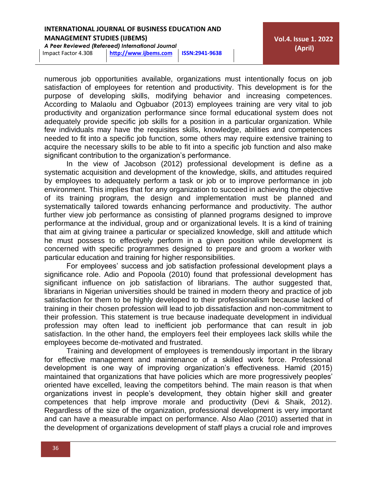*A Peer Reviewed (Refereed) International Journal*

numerous job opportunities available, organizations must intentionally focus on job satisfaction of employees for retention and productivity. This development is for the purpose of developing skills, modifying behavior and increasing competences. According to Malaolu and Ogbuabor (2013) employees training are very vital to job productivity and organization performance since formal educational system does not adequately provide specific job skills for a position in a particular organization. While few individuals may have the requisites skills, knowledge, abilities and competences needed to fit into a specific job function, some others may require extensive training to acquire the necessary skills to be able to fit into a specific job function and also make significant contribution to the organization's performance.

In the view of Jacobson (2012) professional development is define as a systematic acquisition and development of the knowledge, skills, and attitudes required by employees to adequately perform a task or job or to improve performance in job environment. This implies that for any organization to succeed in achieving the objective of its training program, the design and implementation must be planned and systematically tailored towards enhancing performance and productivity. The author further view job performance as consisting of planned programs designed to improve performance at the individual, group and or organizational levels. It is a kind of training that aim at giving trainee a particular or specialized knowledge, skill and attitude which he must possess to effectively perform in a given position while development is concerned with specific programmes designed to prepare and groom a worker with particular education and training for higher responsibilities.

For employees' success and job satisfaction professional development plays a significance role. Adio and Popoola (2010) found that professional development has significant influence on job satisfaction of librarians. The author suggested that, librarians in Nigerian universities should be trained in modern theory and practice of job satisfaction for them to be highly developed to their professionalism because lacked of training in their chosen profession will lead to job dissatisfaction and non-commitment to their profession. This statement is true because inadequate development in individual profession may often lead to inefficient job performance that can result in job satisfaction. In the other hand, the employers feel their employees lack skills while the employees become de-motivated and frustrated.

Training and development of employees is tremendously important in the library for effective management and maintenance of a skilled work force. Professional development is one way of improving organization's effectiveness. Hamid (2015) maintained that organizations that have policies which are more progressively peoples' oriented have excelled, leaving the competitors behind. The main reason is that when organizations invest in people's development, they obtain higher skill and greater competences that help improve morale and productivity (Devi & Shaik, 2012). Regardless of the size of the organization, professional development is very important and can have a measurable impact on performance. Also Alao (2010) asserted that in the development of organizations development of staff plays a crucial role and improves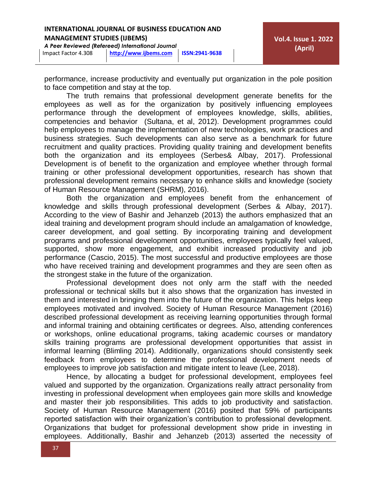*A Peer Reviewed (Refereed) International Journal*

Impact Factor 4.308 **[http://www](http://www.ijbems.com/)**.**ijbems.com ISSN:2941-9638**

performance, increase productivity and eventually put organization in the pole position to face competition and stay at the top.

The truth remains that professional development generate benefits for the employees as well as for the organization by positively influencing employees performance through the development of employees knowledge, skills, abilities, competencies and behavior (Sultana, et al, 2012). Development programmes could help employees to manage the implementation of new technologies, work practices and business strategies. Such developments can also serve as a benchmark for future recruitment and quality practices. Providing quality training and development benefits both the organization and its employees (Serbes& Albay, 2017). Professional Development is of benefit to the organization and employee whether through formal training or other professional development opportunities, research has shown that professional development remains necessary to enhance skills and knowledge (society of Human Resource Management (SHRM), 2016).

Both the organization and employees benefit from the enhancement of knowledge and skills through professional development (Serbes & Albay, 2017). According to the view of Bashir and Jehanzeb (2013) the authors emphasized that an ideal training and development program should include an amalgamation of knowledge, career development, and goal setting. By incorporating training and development programs and professional development opportunities, employees typically feel valued, supported, show more engagement, and exhibit increased productivity and job performance (Cascio, 2015). The most successful and productive employees are those who have received training and development programmes and they are seen often as the strongest stake in the future of the organization.

Professional development does not only arm the staff with the needed professional or technical skills but it also shows that the organization has invested in them and interested in bringing them into the future of the organization. This helps keep employees motivated and involved. Society of Human Resource Management (2016) described professional development as receiving learning opportunities through formal and informal training and obtaining certificates or degrees. Also, attending conferences or workshops, online educational programs, taking academic courses or mandatory skills training programs are professional development opportunities that assist in informal learning (Blimling 2014). Additionally, organizations should consistently seek feedback from employees to determine the professional development needs of employees to improve job satisfaction and mitigate intent to leave (Lee, 2018).

Hence, by allocating a budget for professional development, employees feel valued and supported by the organization. Organizations really attract personality from investing in professional development when employees gain more skills and knowledge and master their job responsibilities. This adds to job productivity and satisfaction. Society of Human Resource Management (2016) posited that 59% of participants reported satisfaction with their organization's contribution to professional development. Organizations that budget for professional development show pride in investing in employees. Additionally, Bashir and Jehanzeb (2013) asserted the necessity of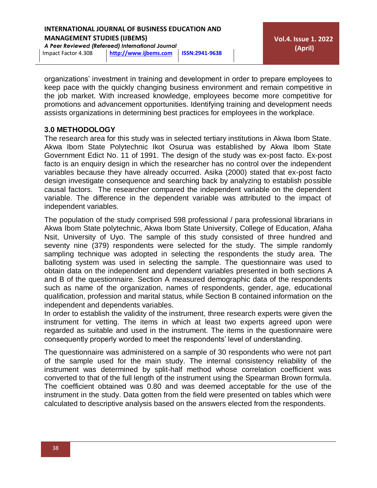*A Peer Reviewed (Refereed) International Journal*

**Vol.4. Issue 1. 2022 (April)**

Impact Factor 4.308 **[http://www](http://www.ijbems.com/)**.**ijbems.com ISSN:2941-9638**

organizations' investment in training and development in order to prepare employees to keep pace with the quickly changing business environment and remain competitive in the job market. With increased knowledge, employees become more competitive for promotions and advancement opportunities. Identifying training and development needs assists organizations in determining best practices for employees in the workplace.

## **3.0 METHODOLOGY**

The research area for this study was in selected tertiary institutions in Akwa Ibom State. Akwa Ibom State Polytechnic Ikot Osurua was established by Akwa Ibom State Government Edict No. 11 of 1991. The design of the study was ex-post facto. Ex-post facto is an enquiry design in which the researcher has no control over the independent variables because they have already occurred. Asika (2000) stated that ex-post facto design investigate consequence and searching back by analyzing to establish possible causal factors. The researcher compared the independent variable on the dependent variable. The difference in the dependent variable was attributed to the impact of independent variables.

The population of the study comprised 598 professional / para professional librarians in Akwa Ibom State polytechnic, Akwa Ibom State University, College of Education, Afaha Nsit, University of Uyo. The sample of this study consisted of three hundred and seventy nine (379) respondents were selected for the study. The simple randomly sampling technique was adopted in selecting the respondents the study area. The balloting system was used in selecting the sample. The questionnaire was used to obtain data on the independent and dependent variables presented in both sections A and B of the questionnaire. Section A measured demographic data of the respondents such as name of the organization, names of respondents, gender, age, educational qualification, profession and marital status, while Section B contained information on the independent and dependents variables.

In order to establish the validity of the instrument, three research experts were given the instrument for vetting. The items in which at least two experts agreed upon were regarded as suitable and used in the instrument. The items in the questionnaire were consequently properly worded to meet the respondents' level of understanding.

The questionnaire was administered on a sample of 30 respondents who were not part of the sample used for the main study. The internal consistency reliability of the instrument was determined by split-half method whose correlation coefficient was converted to that of the full length of the instrument using the Spearman Brown formula. The coefficient obtained was 0.80 and was deemed acceptable for the use of the instrument in the study. Data gotten from the field were presented on tables which were calculated to descriptive analysis based on the answers elected from the respondents.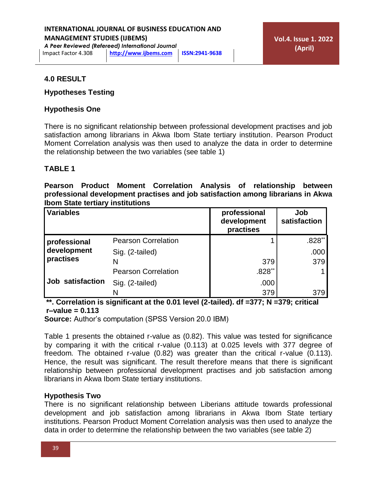*A Peer Reviewed (Refereed) International Journal* Impact Factor 4.308 **[http://www](http://www.ijbems.com/)**.**ijbems.com ISSN:2941-9638**

#### **4.0 RESULT**

#### **Hypotheses Testing**

#### **Hypothesis One**

There is no significant relationship between professional development practises and job satisfaction among librarians in Akwa Ibom State tertiary institution. Pearson Product Moment Correlation analysis was then used to analyze the data in order to determine the relationship between the two variables (see table 1)

## **TABLE 1**

**Pearson Product Moment Correlation Analysis of relationship between professional development practises and job satisfaction among librarians in Akwa Ibom State tertiary institutions**

| Variables                                |                            | professional<br>development<br>practises | Job<br>satisfaction |
|------------------------------------------|----------------------------|------------------------------------------|---------------------|
| professional<br>development<br>practises | <b>Pearson Correlation</b> |                                          | $.828**$            |
|                                          | Sig. (2-tailed)            |                                          | .000                |
|                                          | N                          | 379                                      | 379                 |
| Job satisfaction                         | <b>Pearson Correlation</b> | $.828**$                                 |                     |
|                                          | Sig. (2-tailed)            | .000                                     |                     |
|                                          |                            | 379                                      | 379                 |

**\*\*. Correlation is significant at the 0.01 level (2-tailed). df =377; N =379; critical r–value = 0.113**

**Source:** Author's computation (SPSS Version 20.0 IBM)

Table 1 presents the obtained r-value as (0.82). This value was tested for significance by comparing it with the critical r-value (0.113) at 0.025 levels with 377 degree of freedom. The obtained r-value (0.82) was greater than the critical r-value (0.113). Hence, the result was significant. The result therefore means that there is significant relationship between professional development practises and job satisfaction among librarians in Akwa Ibom State tertiary institutions.

#### **Hypothesis Two**

There is no significant relationship between Liberians attitude towards professional development and job satisfaction among librarians in Akwa Ibom State tertiary institutions. Pearson Product Moment Correlation analysis was then used to analyze the data in order to determine the relationship between the two variables (see table 2)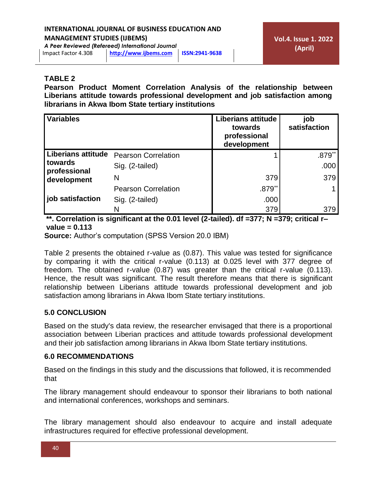*A Peer Reviewed (Refereed) International Journal*

# Impact Factor 4.308 **[http://www](http://www.ijbems.com/)**.**ijbems.com ISSN:2941-9638**

## **TABLE 2**

**Pearson Product Moment Correlation Analysis of the relationship between Liberians attitude towards professional development and job satisfaction among librarians in Akwa Ibom State tertiary institutions**

| <b>Variables</b>                                                      |                            | <b>Liberians attitude</b><br>towards<br>professional<br>development | job<br>satisfaction  |
|-----------------------------------------------------------------------|----------------------------|---------------------------------------------------------------------|----------------------|
| Liberians attitude<br><b>I</b> towards<br>professional<br>development | <b>Pearson Correlation</b> |                                                                     | $.879$ <sup>**</sup> |
|                                                                       | Sig. (2-tailed)            |                                                                     | .000                 |
|                                                                       | N                          | 379                                                                 | 379                  |
|                                                                       | <b>Pearson Correlation</b> | $.879**$                                                            |                      |
| job satisfaction                                                      | Sig. (2-tailed)            | .000                                                                |                      |
|                                                                       |                            | 379                                                                 | 379                  |

**\*\*. Correlation is significant at the 0.01 level (2-tailed). df =377; N =379; critical r– value = 0.113**

**Source:** Author's computation (SPSS Version 20.0 IBM)

Table 2 presents the obtained r-value as (0.87). This value was tested for significance by comparing it with the critical r-value (0.113) at 0.025 level with 377 degree of freedom. The obtained r-value (0.87) was greater than the critical r-value (0.113). Hence, the result was significant. The result therefore means that there is significant relationship between Liberians attitude towards professional development and job satisfaction among librarians in Akwa Ibom State tertiary institutions.

## **5.0 CONCLUSION**

Based on the study's data review, the researcher envisaged that there is a proportional association between Liberian practices and attitude towards professional development and their job satisfaction among librarians in Akwa Ibom State tertiary institutions.

## **6.0 RECOMMENDATIONS**

Based on the findings in this study and the discussions that followed, it is recommended that

The library management should endeavour to sponsor their librarians to both national and international conferences, workshops and seminars.

The library management should also endeavour to acquire and install adequate infrastructures required for effective professional development.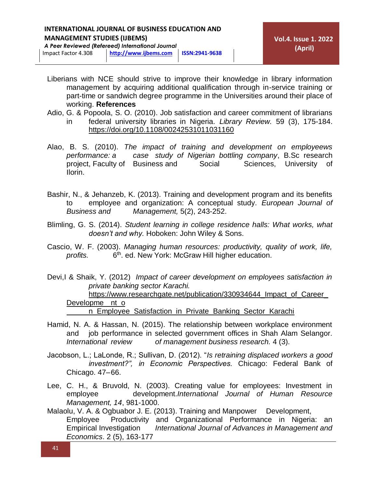*A Peer Reviewed (Refereed) International Journal*

Impact Factor 4.308 **[http://www](http://www.ijbems.com/)**.**ijbems.com ISSN:2941-9638**

- Liberians with NCE should strive to improve their knowledge in library information management by acquiring additional qualification through in-service training or part-time or sandwich degree programme in the Universities around their place of working. **References**
- Adio, G. & Popoola, S. O. (2010). Job satisfaction and career commitment of librarians in federal university libraries in Nigeria. *Library Review.* 59 (3), 175-184. <https://doi.org/10.1108/00242531011031160>
- Alao, B. S. (2010). *The impact of training and development on employeews performance: a case study of Nigerian bottling company*, B.Sc research project, Faculty of Business and Social Sciences, University of Ilorin.
- Bashir, N., & Jehanzeb, K. (2013). Training and development program and its benefits to employee and organization: A conceptual study. *European Journal of Business and Management,* 5(2), 243-252.
- Blimling, G. S. (2014). *Student learning in college residence halls: What works, what doesn't and why.* Hoboken: John Wiley & Sons.
- Cascio, W. F. (2003). *Managing human resources: productivity, quality of work, life, profits.* 6 6<sup>th</sup>. ed. New York: McGraw Hill higher education.
- Devi,I & Shaik, Y. (2012) *Impact of career development on employees satisfaction in private banking sector Karachi.*

https://www.researchgate.net/publication/330934644 Impact of Career [Developme](https://www.researchgate.net/publication/330934644_Impact_of_Career_Developme%09nt_o%09n_Employee_Satisfaction_in_Private_Banking_Sector_Karachi) nt\_o

n Employee Satisfaction in Private Banking Sector Karachi

- Hamid, N. A. & Hassan, N. (2015). The relationship between workplace environment and job performance in selected government offices in Shah Alam Selangor*. International review of management business research.* 4 (3).
- Jacobson, L.; LaLonde, R.; Sullivan, D. (2012). "*Is retraining displaced workers a good investment?", in Economic Perspectives.* Chicago: Federal Bank of Chicago. 47–66.
- Lee, C. H., & Bruvold, N. (2003). Creating value for employees: Investment in employee development.*International Journal of Human Resource Management, 14*, 981-1000.
- Malaolu, V. A. & Ogbuabor J. E. (2013). Training and Manpower Development, Employee Productivity and Organizational Performance in Nigeria: an Empirical Investigation *International Journal of Advances in Management and Economics*. 2 (5), 163-177